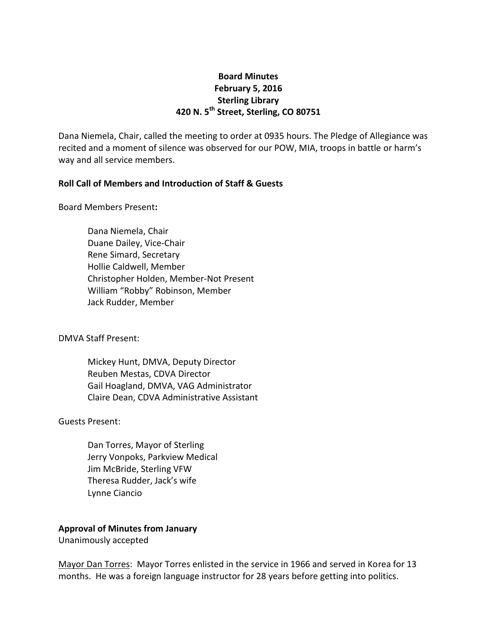# **Board Minutes February 5, 2016 Sterling Library 420 N. 5th Street, Sterling, CO 80751**

Dana Niemela, Chair, called the meeting to order at 0935 hours. The Pledge of Allegiance was recited and a moment of silence was observed for our POW, MIA, troops in battle or harm's way and all service members.

# **Roll Call of Members and Introduction of Staff & Guests**

Board Members Present**:**

Dana Niemela, Chair Duane Dailey, Vice-Chair Rene Simard, Secretary Hollie Caldwell, Member Christopher Holden, Member-Not Present William "Robby" Robinson, Member Jack Rudder, Member

DMVA Staff Present:

Mickey Hunt, DMVA, Deputy Director Reuben Mestas, CDVA Director Gail Hoagland, DMVA, VAG Administrator Claire Dean, CDVA Administrative Assistant

#### Guests Present:

Dan Torres, Mayor of Sterling Jerry Vonpoks, Parkview Medical Jim McBride, Sterling VFW Theresa Rudder, Jack's wife Lynne Ciancio

# **Approval of Minutes from January**

Unanimously accepted

Mayor Dan Torres: Mayor Torres enlisted in the service in 1966 and served in Korea for 13 months. He was a foreign language instructor for 28 years before getting into politics.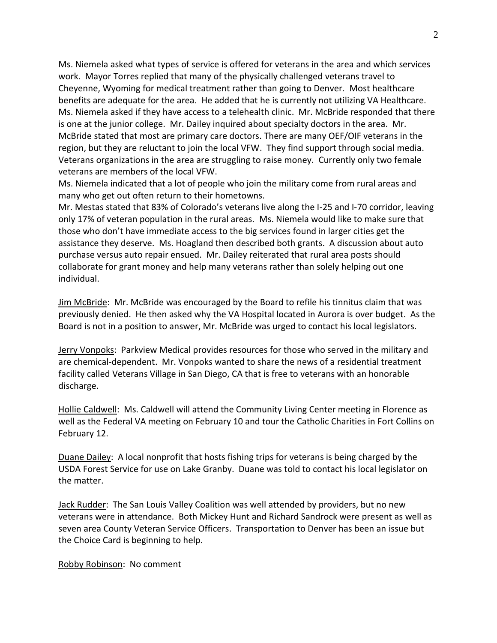Ms. Niemela asked what types of service is offered for veterans in the area and which services work. Mayor Torres replied that many of the physically challenged veterans travel to Cheyenne, Wyoming for medical treatment rather than going to Denver. Most healthcare benefits are adequate for the area. He added that he is currently not utilizing VA Healthcare. Ms. Niemela asked if they have access to a telehealth clinic. Mr. McBride responded that there is one at the junior college. Mr. Dailey inquired about specialty doctors in the area. Mr. McBride stated that most are primary care doctors. There are many OEF/OIF veterans in the region, but they are reluctant to join the local VFW. They find support through social media. Veterans organizations in the area are struggling to raise money. Currently only two female veterans are members of the local VFW.

Ms. Niemela indicated that a lot of people who join the military come from rural areas and many who get out often return to their hometowns.

Mr. Mestas stated that 83% of Colorado's veterans live along the I-25 and I-70 corridor, leaving only 17% of veteran population in the rural areas. Ms. Niemela would like to make sure that those who don't have immediate access to the big services found in larger cities get the assistance they deserve. Ms. Hoagland then described both grants. A discussion about auto purchase versus auto repair ensued. Mr. Dailey reiterated that rural area posts should collaborate for grant money and help many veterans rather than solely helping out one individual.

Jim McBride: Mr. McBride was encouraged by the Board to refile his tinnitus claim that was previously denied. He then asked why the VA Hospital located in Aurora is over budget. As the Board is not in a position to answer, Mr. McBride was urged to contact his local legislators.

Jerry Vonpoks: Parkview Medical provides resources for those who served in the military and are chemical-dependent. Mr. Vonpoks wanted to share the news of a residential treatment facility called Veterans Village in San Diego, CA that is free to veterans with an honorable discharge.

Hollie Caldwell: Ms. Caldwell will attend the Community Living Center meeting in Florence as well as the Federal VA meeting on February 10 and tour the Catholic Charities in Fort Collins on February 12.

Duane Dailey: A local nonprofit that hosts fishing trips for veterans is being charged by the USDA Forest Service for use on Lake Granby. Duane was told to contact his local legislator on the matter.

Jack Rudder: The San Louis Valley Coalition was well attended by providers, but no new veterans were in attendance. Both Mickey Hunt and Richard Sandrock were present as well as seven area County Veteran Service Officers. Transportation to Denver has been an issue but the Choice Card is beginning to help.

Robby Robinson: No comment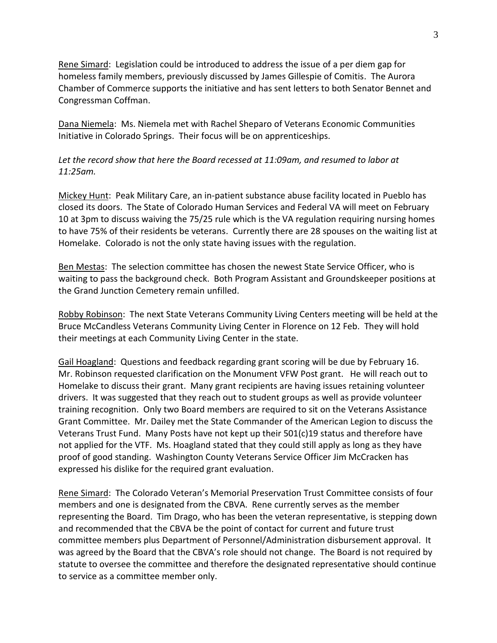Rene Simard: Legislation could be introduced to address the issue of a per diem gap for homeless family members, previously discussed by James Gillespie of Comitis. The Aurora Chamber of Commerce supports the initiative and has sent letters to both Senator Bennet and Congressman Coffman.

Dana Niemela: Ms. Niemela met with Rachel Sheparo of Veterans Economic Communities Initiative in Colorado Springs. Their focus will be on apprenticeships.

*Let the record show that here the Board recessed at 11:09am, and resumed to labor at 11:25am.*

Mickey Hunt: Peak Military Care, an in-patient substance abuse facility located in Pueblo has closed its doors. The State of Colorado Human Services and Federal VA will meet on February 10 at 3pm to discuss waiving the 75/25 rule which is the VA regulation requiring nursing homes to have 75% of their residents be veterans. Currently there are 28 spouses on the waiting list at Homelake. Colorado is not the only state having issues with the regulation.

Ben Mestas: The selection committee has chosen the newest State Service Officer, who is waiting to pass the background check. Both Program Assistant and Groundskeeper positions at the Grand Junction Cemetery remain unfilled.

Robby Robinson: The next State Veterans Community Living Centers meeting will be held at the Bruce McCandless Veterans Community Living Center in Florence on 12 Feb. They will hold their meetings at each Community Living Center in the state.

Gail Hoagland: Questions and feedback regarding grant scoring will be due by February 16. Mr. Robinson requested clarification on the Monument VFW Post grant. He will reach out to Homelake to discuss their grant. Many grant recipients are having issues retaining volunteer drivers. It was suggested that they reach out to student groups as well as provide volunteer training recognition. Only two Board members are required to sit on the Veterans Assistance Grant Committee. Mr. Dailey met the State Commander of the American Legion to discuss the Veterans Trust Fund. Many Posts have not kept up their 501(c)19 status and therefore have not applied for the VTF. Ms. Hoagland stated that they could still apply as long as they have proof of good standing. Washington County Veterans Service Officer Jim McCracken has expressed his dislike for the required grant evaluation.

Rene Simard: The Colorado Veteran's Memorial Preservation Trust Committee consists of four members and one is designated from the CBVA. Rene currently serves as the member representing the Board. Tim Drago, who has been the veteran representative, is stepping down and recommended that the CBVA be the point of contact for current and future trust committee members plus Department of Personnel/Administration disbursement approval. It was agreed by the Board that the CBVA's role should not change. The Board is not required by statute to oversee the committee and therefore the designated representative should continue to service as a committee member only.